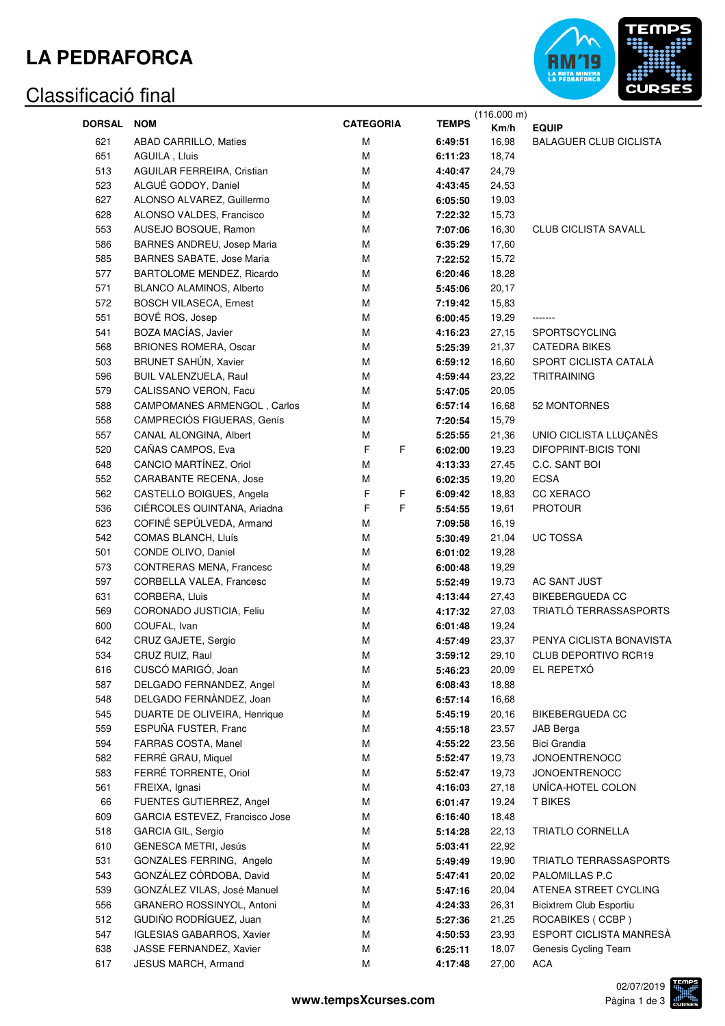## **LA PEDRAFORCA**

#### Classificació final



|               |                                  |                  |              | (116.000 m)    |                                |
|---------------|----------------------------------|------------------|--------------|----------------|--------------------------------|
| <b>DORSAL</b> | <b>NOM</b>                       | <b>CATEGORIA</b> | <b>TEMPS</b> | Km/h           | <b>EQUIP</b>                   |
| 621           | <b>ABAD CARRILLO, Maties</b>     | M                | 6:49:51      | 16,98          | <b>BALAGUER CLUB CICLISTA</b>  |
| 651           | AGUILA, Lluis                    | M                | 6:11:23      | 18,74          |                                |
| 513           | AGUILAR FERREIRA, Cristian       | M                | 4:40:47      | 24,79          |                                |
| 523           | ALGUÉ GODOY, Daniel              | M                | 4:43:45      | 24,53          |                                |
| 627           | ALONSO ALVAREZ, Guillermo        | M                | 6:05:50      | 19,03          |                                |
| 628           | ALONSO VALDES, Francisco         | M                | 7:22:32      | 15,73          |                                |
| 553           | AUSEJO BOSQUE, Ramon             | M                | 7:07:06      | 16,30          | <b>CLUB CICLISTA SAVALL</b>    |
| 586           | BARNES ANDREU, Josep Maria       | М                | 6:35:29      | 17,60          |                                |
| 585           | <b>BARNES SABATE, Jose Maria</b> | М                | 7:22:52      | 15,72          |                                |
| 577           | BARTOLOME MENDEZ, Ricardo        | M                | 6:20:46      | 18,28          |                                |
| 571           | BLANCO ALAMINOS, Alberto         | M                | 5:45:06      | 20,17          |                                |
| 572           | <b>BOSCH VILASECA, Ernest</b>    | M                |              |                |                                |
| 551           | BOVÉ ROS, Josep                  | M                | 7:19:42      | 15,83<br>19,29 | -------                        |
|               |                                  |                  | 6:00:45      |                |                                |
| 541           | BOZA MACÍAS, Javier              | M                | 4:16:23      | 27,15          | <b>SPORTSCYCLING</b>           |
| 568           | <b>BRIONES ROMERA, Oscar</b>     | M                | 5:25:39      | 21,37          | <b>CATEDRA BIKES</b>           |
| 503           | BRUNET SAHÚN, Xavier             | M                | 6:59:12      | 16,60          | SPORT CICLISTA CATALÀ          |
| 596           | BUIL VALENZUELA, Raul            | M                | 4:59:44      | 23,22          | <b>TRITRAINING</b>             |
| 579           | CALISSANO VERON, Facu            | M                | 5:47:05      | 20,05          |                                |
| 588           | CAMPOMANES ARMENGOL, Carlos      | M                | 6:57:14      | 16,68          | 52 MONTORNES                   |
| 558           | CAMPRECIÓS FIGUERAS, Genís       | M                | 7:20:54      | 15,79          |                                |
| 557           | CANAL ALONGINA, Albert           | М                | 5:25:55      | 21,36          | UNIO CICLISTA LLUÇANÈS         |
| 520           | CAÑAS CAMPOS, Eva                | F<br>F           | 6:02:00      | 19,23          | <b>DIFOPRINT-BICIS TONI</b>    |
| 648           | CANCIO MARTÍNEZ, Oriol           | М                | 4:13:33      | 27,45          | C.C. SANT BOI                  |
| 552           | CARABANTE RECENA, Jose           | М                | 6:02:35      | 19,20          | <b>ECSA</b>                    |
| 562           | CASTELLO BOIGUES, Angela         | F<br>F           | 6:09:42      | 18,83          | CC XERACO                      |
| 536           | CIÉRCOLES QUINTANA, Ariadna      | F<br>F           | 5:54:55      | 19,61          | <b>PROTOUR</b>                 |
| 623           | COFINÉ SEPÚLVEDA, Armand         | М                | 7:09:58      | 16,19          |                                |
| 542           | COMAS BLANCH, Lluís              | М                | 5:30:49      | 21,04          | <b>UC TOSSA</b>                |
| 501           | CONDE OLIVO, Daniel              | M                | 6:01:02      | 19,28          |                                |
| 573           | CONTRERAS MENA, Francesc         | M                | 6:00:48      | 19,29          |                                |
| 597           | CORBELLA VALEA, Francesc         | M                | 5:52:49      | 19,73          | AC SANT JUST                   |
| 631           | CORBERA, Lluis                   | M                | 4:13:44      | 27,43          | <b>BIKEBERGUEDA CC</b>         |
| 569           | CORONADO JUSTICIA, Feliu         | M                | 4:17:32      | 27,03          | TRIATLÓ TERRASSASPORTS         |
| 600           | COUFAL, Ivan                     | M                | 6:01:48      | 19,24          |                                |
| 642           | CRUZ GAJETE, Sergio              | М                | 4:57:49      | 23,37          | PENYA CICLISTA BONAVISTA       |
| 534           | CRUZ RUIZ, Raul                  | M                | 3:59:12      | 29,10          | CLUB DEPORTIVO RCR19           |
| 616           | CUSCÓ MARIGÓ, Joan               | М                | 5:46:23      | 20,09          | EL REPETXÓ                     |
| 587           | DELGADO FERNANDEZ, Angel         | М                | 6:08:43      | 18,88          |                                |
| 548           | DELGADO FERNÀNDEZ, Joan          | М                | 6:57:14      | 16,68          |                                |
| 545           | DUARTE DE OLIVEIRA, Henrique     | М                | 5:45:19      | 20,16          | <b>BIKEBERGUEDA CC</b>         |
| 559           | ESPUÑA FUSTER, Franc             | М                | 4:55:18      | 23,57          | JAB Berga                      |
| 594           | FARRAS COSTA, Manel              | М                | 4:55:22      | 23,56          | Bici Grandia                   |
| 582           | FERRÉ GRAU, Miquel               | M                |              |                | <b>JONOENTRENOCC</b>           |
|               |                                  |                  | 5:52:47      | 19,73          |                                |
| 583           | FERRÉ TORRENTE, Oriol            | М                | 5:52:47      | 19,73          | <b>JONOENTRENOCC</b>           |
| 561           | FREIXA, Ignasi                   | M                | 4:16:03      | 27,18          | UNÎCA-HOTEL COLON              |
| 66            | FUENTES GUTIERREZ, Angel         | М                | 6:01:47      | 19,24          | <b>T BIKES</b>                 |
| 609           | GARCIA ESTEVEZ, Francisco Jose   | М                | 6:16:40      | 18,48          |                                |
| 518           | GARCIA GIL, Sergio               | М                | 5:14:28      | 22,13          | <b>TRIATLO CORNELLA</b>        |
| 610           | <b>GENESCA METRI, Jesús</b>      | М                | 5:03:41      | 22,92          |                                |
| 531           | GONZALES FERRING, Angelo         | М                | 5:49:49      | 19,90          | TRIATLO TERRASSASPORTS         |
| 543           | GONZÁLEZ CÓRDOBA, David          | M                | 5:47:41      | 20,02          | PALOMILLAS P.C                 |
| 539           | GONZÁLEZ VILAS, José Manuel      | M                | 5:47:16      | 20,04          | ATENEA STREET CYCLING          |
| 556           | GRANERO ROSSINYOL, Antoni        | M                | 4:24:33      | 26,31          | <b>Bicixtrem Club Esportiu</b> |
| 512           | GUDIÑO RODRÍGUEZ, Juan           | M                | 5:27:36      | 21,25          | ROCABIKES (CCBP)               |
| 547           | IGLESIAS GABARROS, Xavier        | M                | 4:50:53      | 23,93          | ESPORT CICLISTA MANRESÀ        |
| 638           | JASSE FERNANDEZ, Xavier          | M                | 6:25:11      | 18,07          | Genesis Cycling Team           |
| 617           | JESUS MARCH, Armand              | M                | 4:17:48      | 27,00          | <b>ACA</b>                     |

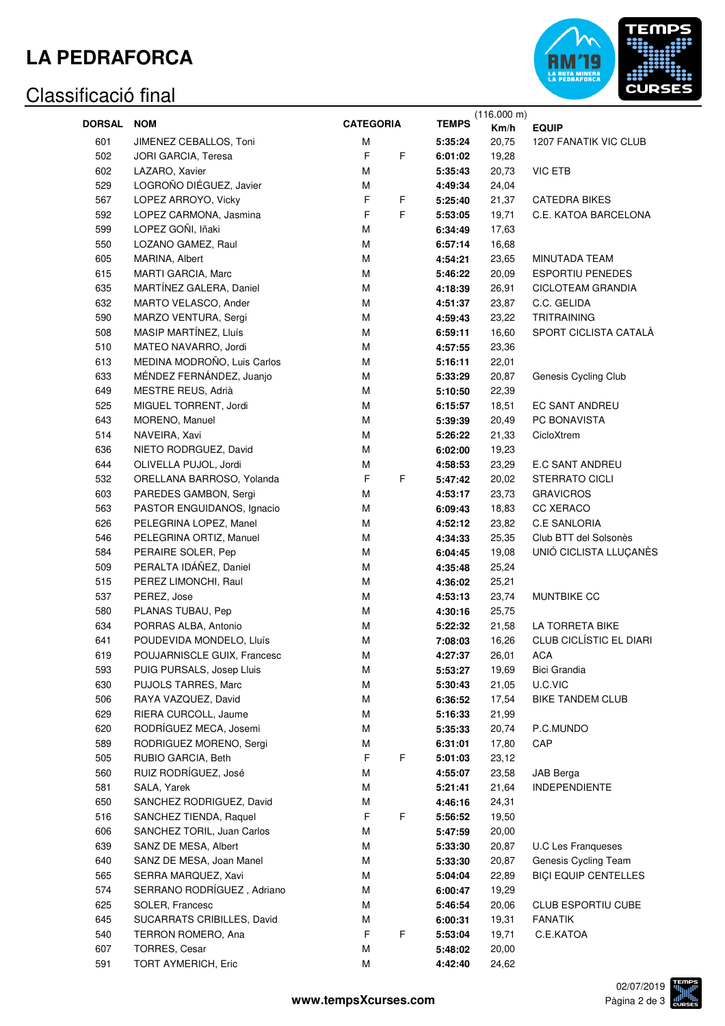## **LA PEDRAFORCA**

#### Classificació final



|               |                             | <b>CATEGORIA</b> |                    | (116.000 m)    |                                |
|---------------|-----------------------------|------------------|--------------------|----------------|--------------------------------|
| <b>DORSAL</b> | <b>NOM</b>                  |                  | <b>TEMPS</b>       | Km/h           | <b>EQUIP</b>                   |
| 601           | JIMENEZ CEBALLOS, Toni      | M                | 5:35:24            | 20,75          | 1207 FANATIK VIC CLUB          |
| 502           | JORI GARCIA, Teresa         | $\mathsf F$<br>F | 6:01:02            | 19,28          |                                |
| 602           | LAZARO, Xavier              | M                | 5:35:43            | 20,73          | <b>VIC ETB</b>                 |
| 529           | LOGROÑO DIÉGUEZ, Javier     | М                | 4:49:34            | 24,04          |                                |
| 567           | LOPEZ ARROYO, Vicky         | $\mathsf F$<br>F | 5:25:40            | 21,37          | <b>CATEDRA BIKES</b>           |
| 592           | LOPEZ CARMONA, Jasmina      | $\mathsf F$<br>F | 5:53:05            | 19,71          | C.E. KATOA BARCELONA           |
| 599           | LOPEZ GOÑI, Iñaki           | M                | 6:34:49            | 17,63          |                                |
| 550           | LOZANO GAMEZ, Raul          | M                | 6:57:14            | 16,68          |                                |
| 605           | MARINA, Albert              | M                | 4:54:21            | 23,65          | MINUTADA TEAM                  |
| 615           | MARTI GARCIA, Marc          | M                | 5:46:22            | 20,09          | <b>ESPORTIU PENEDES</b>        |
| 635           | MARTÍNEZ GALERA, Daniel     | M                | 4:18:39            | 26,91          | CICLOTEAM GRANDIA              |
| 632           | MARTO VELASCO, Ander        | M                | 4:51:37            | 23,87          | C.C. GELIDA                    |
| 590           | MARZO VENTURA, Sergi        | М                | 4:59:43            | 23,22          | <b>TRITRAINING</b>             |
| 508           | MASIP MARTÍNEZ, Lluís       | M                | 6:59:11            | 16,60          | SPORT CICLISTA CATALÀ          |
| 510           | MATEO NAVARRO, Jordi        | M                | 4:57:55            | 23,36          |                                |
| 613           | MEDINA MODROÑO, Luis Carlos | M                | 5:16:11            | 22,01          |                                |
| 633           | MÉNDEZ FERNÁNDEZ, Juanjo    | M                | 5:33:29            | 20,87          | Genesis Cycling Club           |
| 649           | MESTRE REUS, Adrià          | M                | 5:10:50            | 22,39          |                                |
| 525           | MIGUEL TORRENT, Jordi       | M                |                    |                | EC SANT ANDREU                 |
| 643           | MORENO, Manuel              | M                | 6:15:57<br>5:39:39 | 18,51<br>20,49 | PC BONAVISTA                   |
|               | NAVEIRA, Xavi               | M                |                    |                |                                |
| 514           |                             |                  | 5:26:22            | 21,33          | CicloXtrem                     |
| 636           | NIETO RODRGUEZ, David       | M                | 6:02:00            | 19,23          |                                |
| 644           | OLIVELLA PUJOL, Jordi       | М                | 4:58:53            | 23,29          | E.C SANT ANDREU                |
| 532           | ORELLANA BARROSO, Yolanda   | F<br>F           | 5:47:42            | 20,02          | <b>STERRATO CICLI</b>          |
| 603           | PAREDES GAMBON, Sergi       | М                | 4:53:17            | 23,73          | <b>GRAVICROS</b>               |
| 563           | PASTOR ENGUIDANOS, Ignacio  | М                | 6:09:43            | 18,83          | CC XERACO                      |
| 626           | PELEGRINA LOPEZ, Manel      | M                | 4:52:12            | 23,82          | <b>C.E SANLORIA</b>            |
| 546           | PELEGRINA ORTIZ, Manuel     | М                | 4:34:33            | 25,35          | Club BTT del Solsonès          |
| 584           | PERAIRE SOLER, Pep          | М                | 6:04:45            | 19,08          | UNIÓ CICLISTA LLUÇANÈS         |
| 509           | PERALTA IDÁÑEZ, Daniel      | M                | 4:35:48            | 25,24          |                                |
| 515           | PEREZ LIMONCHI, Raul        | М                | 4:36:02            | 25,21          |                                |
| 537           | PEREZ, Jose                 | М                | 4:53:13            | 23,74          | MUNTBIKE CC                    |
| 580           | PLANAS TUBAU, Pep           | М                | 4:30:16            | 25,75          |                                |
| 634           | PORRAS ALBA, Antonio        | М                | 5:22:32            | 21,58          | LA TORRETA BIKE                |
| 641           | POUDEVIDA MONDELO, Lluís    | М                | 7:08:03            | 16,26          | <b>CLUB CICLÍSTIC EL DIARI</b> |
| 619           | POUJARNISCLE GUIX, Francesc | M                | 4:27:37            | 26,01          | ACA                            |
| 593           | PUIG PURSALS, Josep Lluis   | М                | 5:53:27            | 19,69          | Bici Grandia                   |
| 630           | PUJOLS TARRES, Marc         | М                | 5:30:43            | 21,05          | U.C.VIC                        |
| 506           | RAYA VAZQUEZ, David         | М                | 6:36:52            | 17,54          | <b>BIKE TANDEM CLUB</b>        |
| 629           | RIERA CURCOLL, Jaume        | М                | 5:16:33            | 21,99          |                                |
| 620           | RODRÍGUEZ MECA, Josemi      | М                | 5:35:33            | 20,74          | P.C.MUNDO                      |
| 589           | RODRIGUEZ MORENO, Sergi     | М                | 6:31:01            | 17,80          | CAP                            |
| 505           | RUBIO GARCIA, Beth          | F<br>F           | 5:01:03            | 23,12          |                                |
| 560           | RUIZ RODRÍGUEZ, José        | М                | 4:55:07            | 23,58          | JAB Berga                      |
| 581           | SALA, Yarek                 | М                | 5:21:41            | 21,64          | <b>INDEPENDIENTE</b>           |
| 650           | SANCHEZ RODRIGUEZ, David    | М                | 4:46:16            | 24,31          |                                |
| 516           | SANCHEZ TIENDA, Raquel      | F<br>F           | 5:56:52            | 19,50          |                                |
| 606           | SANCHEZ TORIL, Juan Carlos  | М                | 5:47:59            | 20,00          |                                |
| 639           | SANZ DE MESA, Albert        | М                | 5:33:30            | 20,87          | <b>U.C Les Franqueses</b>      |
| 640           | SANZ DE MESA, Joan Manel    | М                | 5:33:30            | 20,87          | Genesis Cycling Team           |
| 565           | SERRA MARQUEZ, Xavi         | М                | 5:04:04            | 22,89          | <b>BIÇI EQUIP CENTELLES</b>    |
| 574           | SERRANO RODRÍGUEZ, Adriano  | М                | 6:00:47            | 19,29          |                                |
| 625           | SOLER, Francesc             | М                | 5:46:54            | 20,06          | <b>CLUB ESPORTIU CUBE</b>      |
| 645           | SUCARRATS CRIBILLES, David  | М                | 6:00:31            | 19,31          | <b>FANATIK</b>                 |
| 540           | TERRON ROMERO, Ana          | $\mathsf F$<br>F | 5:53:04            | 19,71          | C.E.KATOA                      |
| 607           | TORRES, Cesar               | М                | 5:48:02            | 20,00          |                                |
| 591           | TORT AYMERICH, Eric         | M                | 4:42:40            | 24,62          |                                |